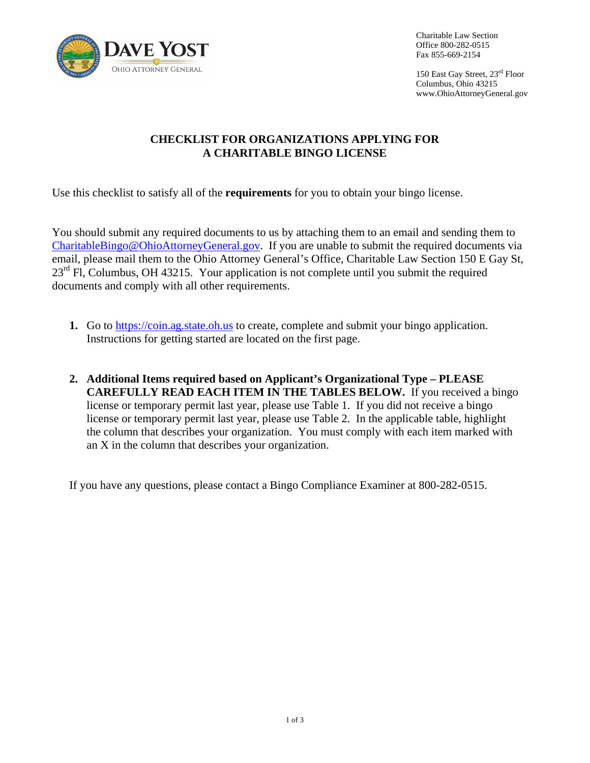

Charitable Law Section Office 800-282-0515 Fax 855-669-2154

150 East Gay Street, 23rd Floor Columbus, Ohio 43215 <www.OhioAttorneyGeneral.gov>

## **CHECKLIST FOR ORGANIZATIONS APPLYING FOR A CHARITABLE BINGO LICENSE**

Use this checklist to satisfy all of the **requirements** for you to obtain your bingo license.

You should submit any required documents to us by attaching them to an email and sending them to [CharitableBingo@OhioAttorneyGeneral.gov](mailto:CharitableBingo@OhioAttorneyGeneral.gov). If you are unable to submit the required documents via email, please mail them to the Ohio Attorney General's Office, Charitable Law Section 150 E Gay St,  $23<sup>rd</sup>$  Fl, Columbus, OH 43215. Your application is not complete until you submit the required documents and comply with all other requirements.

- **1.** Go to<https://coin.ag.state.oh.us>to create, complete and submit your bingo application. Instructions for getting started are located on the first page.
- **2. Additional Items required based on Applicant's Organizational Type PLEASE CAREFULLY READ EACH ITEM IN THE TABLES BELOW.** If you received a bingo license or temporary permit last year, please use Table 1. If you did not receive a bingo license or temporary permit last year, please use Table 2. In the applicable table, highlight the column that describes your organization. You must comply with each item marked with an X in the column that describes your organization.

If you have any questions, please contact a Bingo Compliance Examiner at 800-282-0515.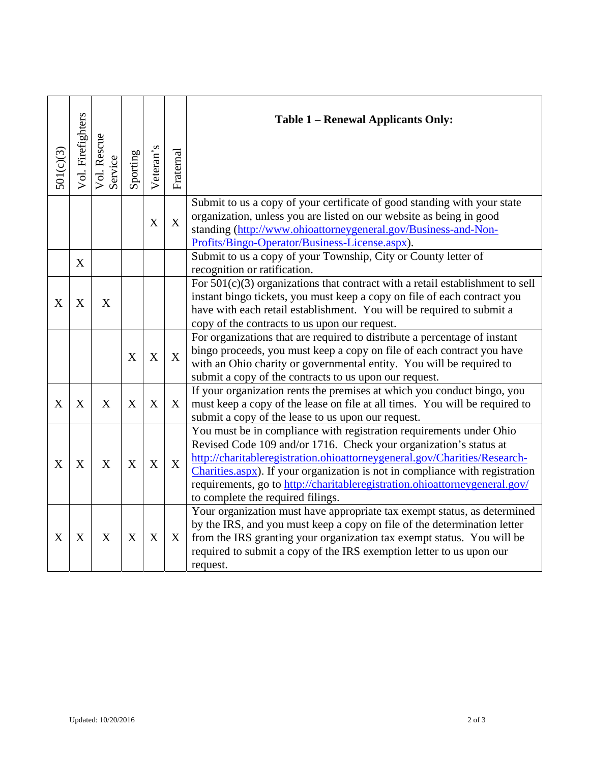| 501(c)(3) | Vol. Firefighters | Vol. Rescue<br>Service | Sporting | Veteran's | Fraternal   | Table 1 – Renewal Applicants Only:                                                                                                                                                                                                                                                                                                                                                                                       |
|-----------|-------------------|------------------------|----------|-----------|-------------|--------------------------------------------------------------------------------------------------------------------------------------------------------------------------------------------------------------------------------------------------------------------------------------------------------------------------------------------------------------------------------------------------------------------------|
|           |                   |                        |          | X         | X           | Submit to us a copy of your certificate of good standing with your state<br>organization, unless you are listed on our website as being in good<br>standing (http://www.ohioattorneygeneral.gov/Business-and-Non-<br>Profits/Bingo-Operator/Business-License.aspx).                                                                                                                                                      |
|           | X                 |                        |          |           |             | Submit to us a copy of your Township, City or County letter of<br>recognition or ratification.                                                                                                                                                                                                                                                                                                                           |
| X         | X                 | X                      |          |           |             | For $501(c)(3)$ organizations that contract with a retail establishment to sell<br>instant bingo tickets, you must keep a copy on file of each contract you<br>have with each retail establishment. You will be required to submit a<br>copy of the contracts to us upon our request.                                                                                                                                    |
|           |                   |                        | X        | X         | $\mathbf X$ | For organizations that are required to distribute a percentage of instant<br>bingo proceeds, you must keep a copy on file of each contract you have<br>with an Ohio charity or governmental entity. You will be required to<br>submit a copy of the contracts to us upon our request.                                                                                                                                    |
| X         | X                 | $\boldsymbol{X}$       | X        | X         | X           | If your organization rents the premises at which you conduct bingo, you<br>must keep a copy of the lease on file at all times. You will be required to<br>submit a copy of the lease to us upon our request.                                                                                                                                                                                                             |
| X         | X                 | X                      | X        | X         | $\mathbf X$ | You must be in compliance with registration requirements under Ohio<br>Revised Code 109 and/or 1716. Check your organization's status at<br>http://charitableregistration.ohioattorneygeneral.gov/Charities/Research-<br>Charities.aspx). If your organization is not in compliance with registration<br>requirements, go to http://charitableregistration.ohioattorneygeneral.gov/<br>to complete the required filings. |
| X         | X                 | X                      | X        | X         | X           | Your organization must have appropriate tax exempt status, as determined<br>by the IRS, and you must keep a copy on file of the determination letter<br>from the IRS granting your organization tax exempt status. You will be<br>required to submit a copy of the IRS exemption letter to us upon our<br>request.                                                                                                       |